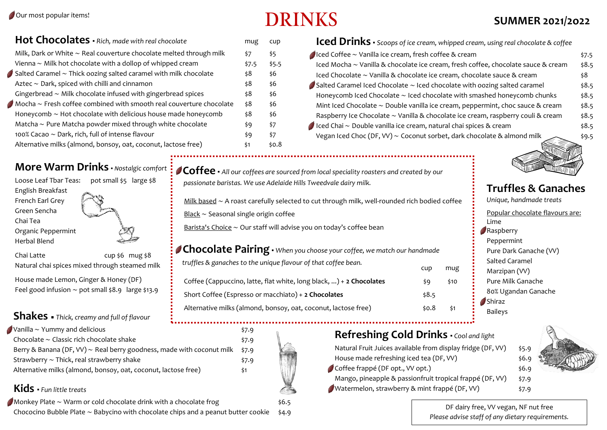# $\bf{DRINKS}$  SUMMER 2021/2022

| Hot Chocolates · Rich, made with real chocolate                          | mug   | cup   |
|--------------------------------------------------------------------------|-------|-------|
| Milk, Dark or White $\sim$ Real couverture chocolate melted through milk | \$7   | \$5   |
| Vienna $\sim$ Milk hot chocolate with a dollop of whipped cream          | \$7.5 | \$5.5 |
| Salted Caramel $\sim$ Thick oozing salted caramel with milk chocolate    | \$8   | \$6   |
| Aztec $\sim$ Dark, spiced with chilli and cinnamon                       | \$8   | \$6   |
| Gingerbread $\sim$ Milk chocolate infused with gingerbread spices        | \$8   | \$6   |
| Mocha $\sim$ Fresh coffee combined with smooth real couverture chocolate | \$8   | \$6   |
| Honeycomb $\sim$ Hot chocolate with delicious house made honeycomb       | \$8   | \$6   |
| Matcha $\sim$ Pure Matcha powder mixed through white chocolate           | \$9   | \$7   |
| 100% Cacao $\sim$ Dark, rich, full of intense flavour                    | \$9   | \$7   |
| Alternative milks (almond, bonsoy, oat, coconut, lactose free)           | \$1   | \$0.8 |

## **More Warm Drinks** • *Nostalgic comfort* :

| Loose Leaf Tbar Teas: | pot small \$5 large \$8 |
|-----------------------|-------------------------|
| English Breakfast     |                         |
| French Earl Grey      |                         |
| Green Sencha          |                         |
| Chai Tea              |                         |
| Organic Peppermint    |                         |
| Herbal Blend          |                         |
| Chai Latte            | cup $$6$ mug $$8$       |

Natural chai spices mixed through steamed milk

House made Lemon, Ginger & Honey (DF) Feel good infusion ∼ pot small \$8.9 large \$13.9

## **Shakes** ▪ *Thick, creamy and full of flavour*

| Vanilla $\sim$ Yummy and delicious                                         | \$7.9 |
|----------------------------------------------------------------------------|-------|
| Chocolate $\sim$ Classic rich chocolate shake                              | \$7.9 |
| Berry & Banana (DF, VV) $\sim$ Real berry goodness, made with coconut milk | \$7.9 |
| Strawberry $\sim$ Thick, real strawberry shake                             | \$7.9 |
| Alternative milks (almond, bonsoy, oat, coconut, lactose free)             | S1    |

## **Kids ▪** *Fun little treats*

Monkey Plate ∼ Warm or cold chocolate drink with a chocolate frog \$6.5 Chococino Bubble Plate ∼ Babycino with chocolate chips and a peanut butter cookie \$4.9

| Iced Drinks · Scoops of ice cream, whipped cream, using real chocolate & coffee          |       |
|------------------------------------------------------------------------------------------|-------|
| $\triangle$ Iced Coffee ~ Vanilla ice cream, fresh coffee & cream                        | \$7.5 |
| Iced Mocha ~ Vanilla & chocolate ice cream, fresh coffee, chocolate sauce & cream        | \$8.5 |
| Iced Chocolate ~ Vanilla & chocolate ice cream, chocolate sauce & cream                  | \$8   |
| $\bullet$ Salted Caramel Iced Chocolate $\sim$ Iced chocolate with oozing salted caramel | \$8.5 |
| Honeycomb Iced Chocolate $\sim$ Iced chocolate with smashed honeycomb chunks             | \$8.5 |
| Mint Iced Chocolate $\sim$ Double vanilla ice cream, peppermint, choc sauce & cream      | \$8.5 |
| Raspberry Ice Chocolate ~ Vanilla & chocolate ice cream, raspberry couli & cream         | \$8.5 |
| Iced Chai ~ Double vanilla ice cream, natural chai spices & cream                        | \$8.5 |
| Vegan Iced Choc (DF, VV) $\sim$ Coconut sorbet, dark chocolate & almond milk             | \$9.5 |
|                                                                                          |       |



 Milk based ∼ A roast carefully selected to cut through milk, well-rounded rich bodied coffee Black ∼ Seasonal single origin coffee

Barista's Choice ∼ Our staff will advise you on today's coffee bean

| <b>Chocolate Pairing</b> $\cdot$ When you choose your coffee, we match our handmade |            |      |
|-------------------------------------------------------------------------------------|------------|------|
| truffles & ganaches to the unique flavour of that coffee bean.                      | <b>CUD</b> | mug  |
| Coffee (Cappuccino, latte, flat white, long black, ) + 2 Chocolates                 | \$9        | \$10 |
| Short Coffee (Espresso or macchiato) + 2 Chocolates                                 | \$8.5      |      |
| Alternative milks (almond, bonsoy, oat, coconut, lactose free)                      | \$0.8      | \$1  |
|                                                                                     |            |      |

**Refreshing Cold Drinks ▪** *Cool and light*

Natural Fruit Juices available from display fridge (DF, VV) \$5.9 House made refreshing iced tea (DF, VV)  $\frac{1}{56}$ .  $\bigcirc$  Coffee frappé (DF opt., VV opt.)  $\qquad$ \$6.9 Mango, pineapple & passionfruit tropical frappé (DF, VV)  $\pm$  57.9

Watermelon, strawberry & mint frappé (DF, VV)  $\sharp$ 7.9



DF dairy free, VV vegan, NF nut free *Please advise staff of any dietary requirements.*







## **Truffles & Ganaches**

*Unique, handmade treats* Popular chocolate flavours are: Lime **Raspberry** Peppermint Pure Dark Ganache (VV) Salted Caramel Marzipan (VV) Pure Milk Ganache 80% Ugandan Ganache Shiraz Baileys